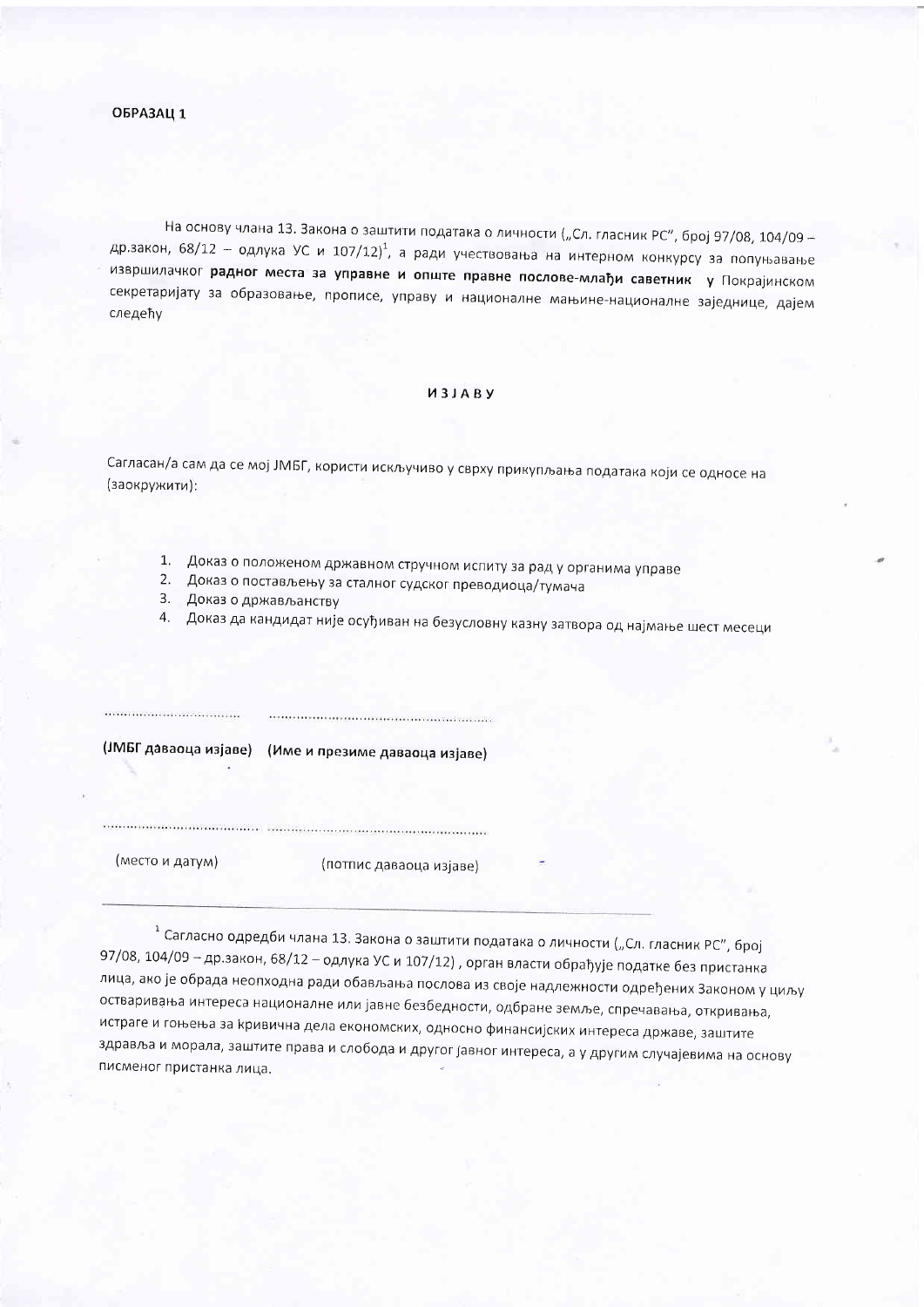## ОБРАЗАЦ 1

На основу члана 13. Закона о заштити података о личности ("Сл. гласник РС", број 97/08, 104/09 др.закон, 68/12 - одлука УС и 107/12)<sup>1</sup>, а ради учествовања на интерном конкурсу за попуњавање извршилачког радног места за управне и опште правне послове-млађи саветник у Покрајинском секретаријату за образовање, прописе, управу и националне мањине-националне заједнице, дајем следећу

## *M3JABY*

Сагласан/а сам да се мој ЈМБГ, користи искључиво у сврху прикупљања података који се односе на (заокружити):

- 1. Доказ о положеном државном стручном испиту за рад у органима управе
- 2. Доказ о постављењу за сталног судског преводиоца/тумача
- 3. Доказ о држављанству
- 4. Доказ да кандидат није осуђиван на безусловну казну затвора од најмање шест месеци

(ЈМБГ даваоца изјаве) (Име и презиме даваоца изјаве)

 $\label{eq:10} \begin{minipage}{0.9\textwidth} \begin{minipage}{0.9\textwidth} \centering \begin{minipage}{0.9\textwidth} \centering \end{minipage} \begin{minipage}{0.9\textwidth} \centering \begin{minipage}{0.9\textwidth} \centering \end{minipage} \begin{minipage}{0.9\textwidth} \centering \end{minipage} \begin{minipage}{0.9\textwidth} \centering \begin{minipage}{0.9\textwidth} \centering \end{minipage} \begin{minipage}{0.9\textwidth} \centering \end{minipage} \begin{minipage}{0.9\textwidth} \centering \end{minipage} \begin{$ 

(место и датум)

(потпис даваоца изјаве)

<sup>1</sup> Сагласно одредби члана 13. Закона о заштити података о личности ("Сл. гласник РС", број 97/08, 104/09 - др.закон, 68/12 - одлука УС и 107/12), орган власти обрађује податке без пристанка лица, ако је обрада неопходна ради обављања послова из своје надлежности одређених Законом у циљу остваривања интереса националне или јавне безбедности, одбране земље, спречавања, откривања, истраге и гоњења за кривична дела економских, односно финансијских интереса државе, заштите здравља и морала, заштите права и слобода и другог јавног интереса, а у другим случајевима на основу писменог пристанка лица.